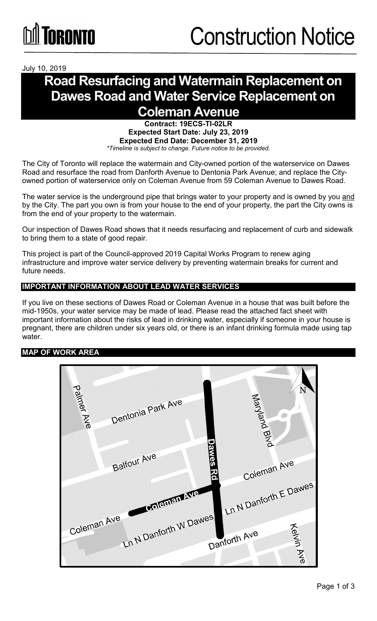July 10, 2019

## **Road Resurfacing and Watermain Replacement on Dawes Road and Water Service Replacement on Coleman Avenue**

**Contract: 19ECS-TI-02LR Expected Start Date: July 23, 2019 Expected End Date: December 31, 2019** *\*Timeline is subject to change. Future notice to be provided.*

The City of Toronto will replace the watermain and City-owned portion of the waterservice on Dawes Road and resurface the road from Danforth Avenue to Dentonia Park Avenue; and replace the Cityowned portion of waterservice only on Coleman Avenue from 59 Coleman Avenue to Dawes Road.

The water service is the underground pipe that brings water to your property and is owned by you and by the City. The part you own is from your house to the end of your property, the part the City owns is from the end of your property to the watermain.

Our inspection of Dawes Road shows that it needs resurfacing and replacement of curb and sidewalk to bring them to a state of good repair.

This project is part of the Council-approved 2019 Capital Works Program to renew aging infrastructure and improve water service delivery by preventing watermain breaks for current and future needs.

### **IMPORTANT INFORMATION ABOUT LEAD WATER SERVICES**

If you live on these sections of Dawes Road or Coleman Avenue in a house that was built before the mid-1950s, your water service may be made of lead. Please read the attached fact sheet with important information about the risks of lead in drinking water, especially if someone in your house is pregnant, there are children under six years old, or there is an infant drinking formula made using tap water.

#### **MAP OF WORK AREA**

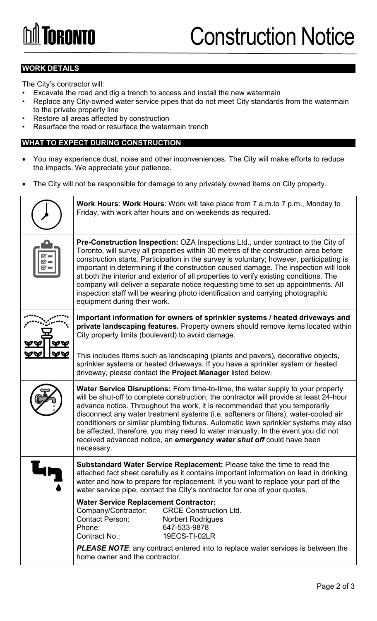#### **WORK DETAILS**

The City's contractor will:

- Excavate the road and dig a trench to access and install the new watermain
- Replace any City-owned water service pipes that do not meet City standards from the watermain to the private property line
- Restore all areas affected by construction
- Resurface the road or resurface the watermain trench

#### **WHAT TO EXPECT DURING CONSTRUCTION**

- You may experience dust, noise and other inconveniences. The City will make efforts to reduce the impacts. We appreciate your patience.
- The City will not be responsible for damage to any privately owned items on City property.

| Work Hours: Work Hours: Work will take place from 7 a.m.to 7 p.m., Monday to<br>Friday, with work after hours and on weekends as required.                                                                                                                                                                                                                                                                                                                                                                                                                                                                                                                             |  |
|------------------------------------------------------------------------------------------------------------------------------------------------------------------------------------------------------------------------------------------------------------------------------------------------------------------------------------------------------------------------------------------------------------------------------------------------------------------------------------------------------------------------------------------------------------------------------------------------------------------------------------------------------------------------|--|
| <b>Pre-Construction Inspection:</b> OZA Inspections Ltd., under contract to the City of<br>Toronto, will survey all properties within 30 metres of the construction area before<br>construction starts. Participation in the survey is voluntary; however, participating is<br>important in determining if the construction caused damage. The inspection will look<br>at both the interior and exterior of all properties to verify existing conditions. The<br>company will deliver a separate notice requesting time to set up appointments. All<br>inspection staff will be wearing photo identification and carrying photographic<br>equipment during their work. |  |
| Important information for owners of sprinkler systems / heated driveways and<br>private landscaping features. Property owners should remove items located within<br>City property limits (boulevard) to avoid damage.<br>This includes items such as landscaping (plants and pavers), decorative objects,                                                                                                                                                                                                                                                                                                                                                              |  |
| sprinkler systems or heated driveways. If you have a sprinkler system or heated<br>driveway, please contact the Project Manager listed below.                                                                                                                                                                                                                                                                                                                                                                                                                                                                                                                          |  |
| Water Service Disruptions: From time-to-time, the water supply to your property<br>will be shut-off to complete construction; the contractor will provide at least 24-hour<br>advance notice. Throughout the work, it is recommended that you temporarily<br>disconnect any water treatment systems (i.e. softeners or filters), water-cooled air<br>conditioners or similar plumbing fixtures. Automatic lawn sprinkler systems may also<br>be affected, therefore, you may need to water manually. In the event you did not<br>received advanced notice, an emergency water shut off could have been<br>necessary.                                                   |  |
| Substandard Water Service Replacement: Please take the time to read the<br>attached fact sheet carefully as it contains important information on lead in drinking<br>water and how to prepare for replacement. If you want to replace your part of the<br>water service pipe, contact the City's contractor for one of your quotes.                                                                                                                                                                                                                                                                                                                                    |  |
| <b>Water Service Replacement Contractor:</b><br>Company/Contractor:<br><b>CRCE Construction Ltd.</b><br><b>Contact Person:</b><br><b>Norbert Rodrigues</b><br>Phone:<br>647-533-9878<br>Contract No.:<br>19ECS-TI-02LR                                                                                                                                                                                                                                                                                                                                                                                                                                                 |  |
| <b>PLEASE NOTE:</b> any contract entered into to replace water services is between the<br>home owner and the contractor.                                                                                                                                                                                                                                                                                                                                                                                                                                                                                                                                               |  |